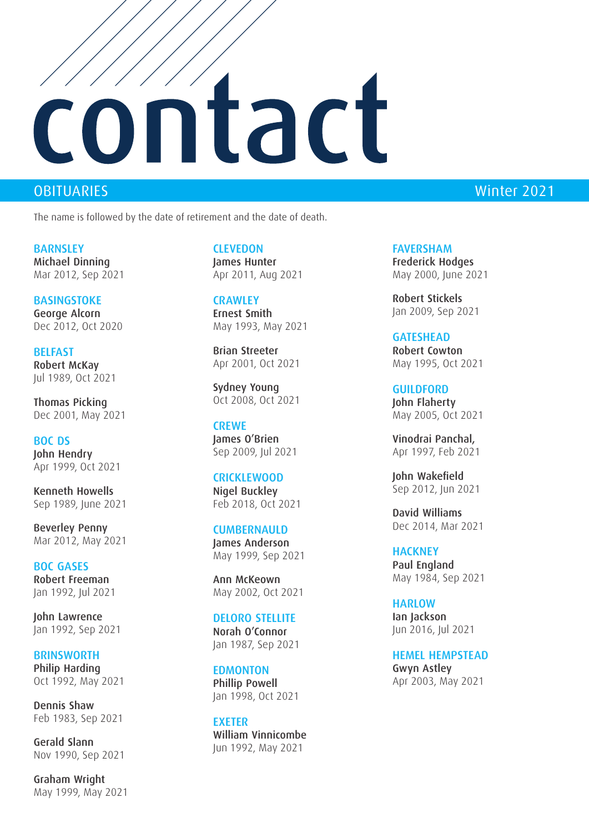# ontact

The name is followed by the date of retirement and the date of death.

**BARNSLEY** Michael Dinning Mar 2012, Sep 2021

**BASINGSTOKE** George Alcorn Dec 2012, Oct 2020

**BELFAST** Robert McKay Jul 1989, Oct 2021

Thomas Picking Dec 2001, May 2021

BOC DS John Hendry Apr 1999, Oct 2021

Kenneth Howells Sep 1989, June 2021

Beverley Penny Mar 2012, May 2021

BOC GASES Robert Freeman Jan 1992, Jul 2021

John Lawrence Jan 1992, Sep 2021

**BRINSWORTH** Philip Harding Oct 1992, May 2021

Dennis Shaw Feb 1983, Sep 2021

Gerald Slann Nov 1990, Sep 2021

Graham Wright May 1999, May 2021 **CLEVEDON** James Hunter Apr 2011, Aug 2021

**CRAWLEY** Ernest Smith May 1993, May 2021

Brian Streeter Apr 2001, Oct 2021

Sydney Young Oct 2008, Oct 2021

**CREWE** James O'Brien Sep 2009, Jul 2021

### CRICKLEWOOD

Nigel Buckley Feb 2018, Oct 2021

### CUMBERNAULD

James Anderson May 1999, Sep 2021

Ann McKeown May 2002, Oct 2021

### DELORO STELLITE

Norah O'Connor Jan 1987, Sep 2021

### **EDMONTON**

Phillip Powell Jan 1998, Oct 2021

**FXFTFR** William Vinnicombe Jun 1992, May 2021

## OBITUARIES Winter 2021

FAVERSHAM Frederick Hodges May 2000, June 2021

Robert Stickels Jan 2009, Sep 2021

### GATESHEAD

Robert Cowton May 1995, Oct 2021

**GUILDFORD** John Flaherty May 2005, Oct 2021

Vinodrai Panchal, Apr 1997, Feb 2021

John Wakefield Sep 2012, Jun 2021

David Williams Dec 2014, Mar 2021

**HACKNEY** Paul England May 1984, Sep 2021

**HARLOW** Ian Jackson Jun 2016, Jul 2021

HEMEL HEMPSTEAD Gwyn Astley Apr 2003, May 2021